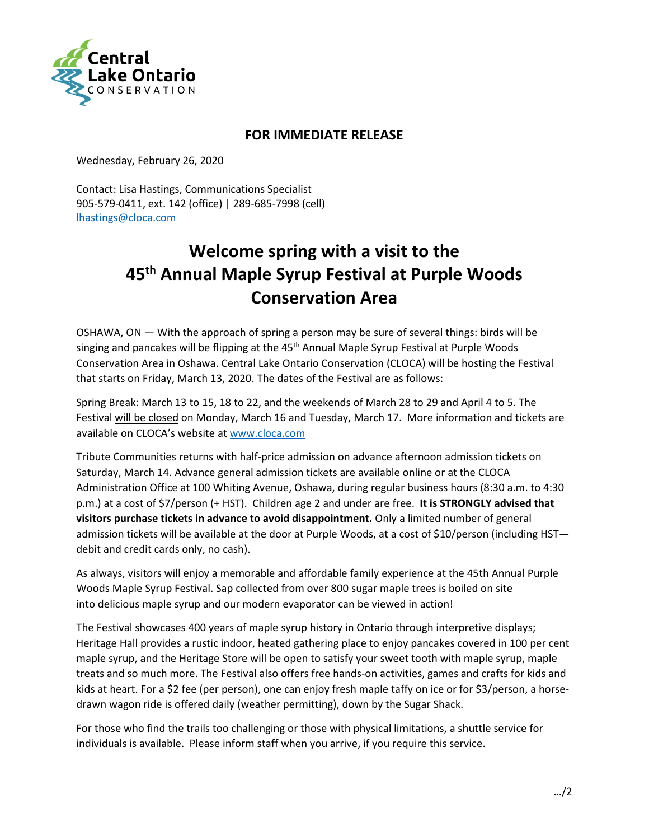

## **FOR IMMEDIATE RELEASE**

Wednesday, February 26, 2020

Contact: Lisa Hastings, Communications Specialist 905-579-0411, ext. 142 (office) | 289-685-7998 (cell) [lhastings@cloca.com](mailto:lhastings@cloca.com)

## **Welcome spring with a visit to the 45th Annual Maple Syrup Festival at Purple Woods Conservation Area**

OSHAWA, ON — With the approach of spring a person may be sure of several things: birds will be singing and pancakes will be flipping at the 45<sup>th</sup> Annual Maple Syrup Festival at Purple Woods Conservation Area in Oshawa. Central Lake Ontario Conservation (CLOCA) will be hosting the Festival that starts on Friday, March 13, 2020. The dates of the Festival are as follows:

Spring Break: March 13 to 15, 18 to 22, and the weekends of March 28 to 29 and April 4 to 5. The Festival will be closed on Monday, March 16 and Tuesday, March 17. More information and tickets are available on CLOCA's website at [www.cloca.com](http://www.cloca.com/)

Tribute Communities returns with half-price admission on advance afternoon admission tickets on Saturday, March 14. Advance general admission tickets are available online or at the CLOCA Administration Office at 100 Whiting Avenue, Oshawa, during regular business hours (8:30 a.m. to 4:30 p.m.) at a cost of \$7/person (+ HST). Children age 2 and under are free. **It is STRONGLY advised that visitors purchase tickets in advance to avoid disappointment.** Only a limited number of general admission tickets will be available at the door at Purple Woods, at a cost of \$10/person (including HST debit and credit cards only, no cash).

As always, visitors will enjoy a memorable and affordable family experience at the 45th Annual Purple Woods Maple Syrup Festival. Sap collected from over 800 sugar maple trees is boiled on site into delicious maple syrup and our modern evaporator can be viewed in action!

The Festival showcases 400 years of maple syrup history in Ontario through interpretive displays; Heritage Hall provides a rustic indoor, heated gathering place to enjoy pancakes covered in 100 per cent maple syrup, and the Heritage Store will be open to satisfy your sweet tooth with maple syrup, maple treats and so much more. The Festival also offers free hands-on activities, games and crafts for kids and kids at heart. For a \$2 fee (per person), one can enjoy fresh maple taffy on ice or for \$3/person, a horsedrawn wagon ride is offered daily (weather permitting), down by the Sugar Shack.

For those who find the trails too challenging or those with physical limitations, a shuttle service for individuals is available. Please inform staff when you arrive, if you require this service.